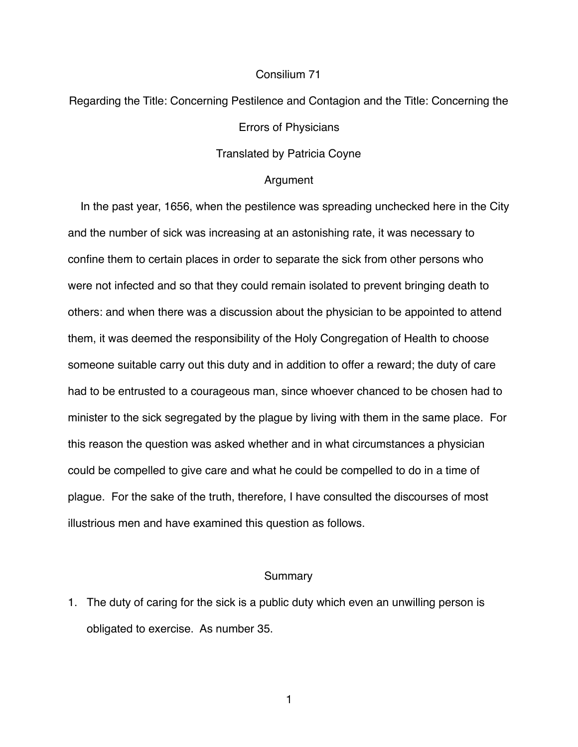# Consilium 71

Regarding the Title: Concerning Pestilence and Contagion and the Title: Concerning the

Errors of Physicians

Translated by Patricia Coyne

### Argument

 In the past year, 1656, when the pestilence was spreading unchecked here in the City and the number of sick was increasing at an astonishing rate, it was necessary to confine them to certain places in order to separate the sick from other persons who were not infected and so that they could remain isolated to prevent bringing death to others: and when there was a discussion about the physician to be appointed to attend them, it was deemed the responsibility of the Holy Congregation of Health to choose someone suitable carry out this duty and in addition to offer a reward; the duty of care had to be entrusted to a courageous man, since whoever chanced to be chosen had to minister to the sick segregated by the plague by living with them in the same place. For this reason the question was asked whether and in what circumstances a physician could be compelled to give care and what he could be compelled to do in a time of plague. For the sake of the truth, therefore, I have consulted the discourses of most illustrious men and have examined this question as follows.

## Summary

1. The duty of caring for the sick is a public duty which even an unwilling person is obligated to exercise. As number 35.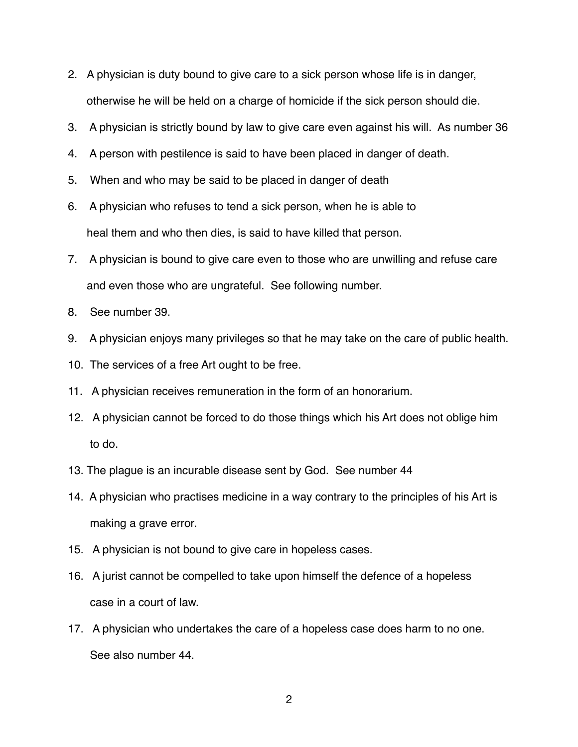- 2. A physician is duty bound to give care to a sick person whose life is in danger, otherwise he will be held on a charge of homicide if the sick person should die.
- 3. A physician is strictly bound by law to give care even against his will. As number 36
- 4. A person with pestilence is said to have been placed in danger of death.
- 5. When and who may be said to be placed in danger of death
- 6. A physician who refuses to tend a sick person, when he is able to heal them and who then dies, is said to have killed that person.
- 7. A physician is bound to give care even to those who are unwilling and refuse care and even those who are ungrateful. See following number.
- 8. See number 39.
- 9. A physician enjoys many privileges so that he may take on the care of public health.
- 10. The services of a free Art ought to be free.
- 11. A physician receives remuneration in the form of an honorarium.
- 12. A physician cannot be forced to do those things which his Art does not oblige him to do.
- 13. The plague is an incurable disease sent by God. See number 44
- 14. A physician who practises medicine in a way contrary to the principles of his Art is making a grave error.
- 15. A physician is not bound to give care in hopeless cases.
- 16. A jurist cannot be compelled to take upon himself the defence of a hopeless case in a court of law.
- 17. A physician who undertakes the care of a hopeless case does harm to no one. See also number 44.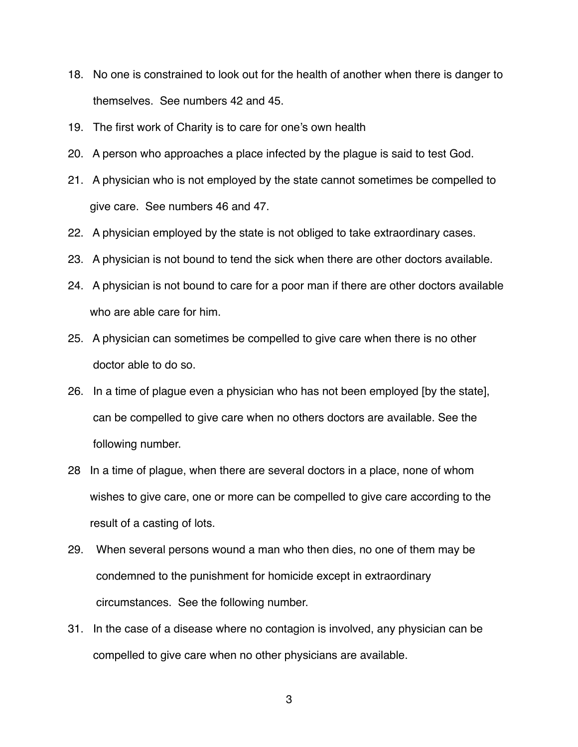- 18. No one is constrained to look out for the health of another when there is danger to themselves. See numbers 42 and 45.
- 19. The first work of Charity is to care for one's own health
- 20. A person who approaches a place infected by the plague is said to test God.
- 21. A physician who is not employed by the state cannot sometimes be compelled to give care. See numbers 46 and 47.
- 22. A physician employed by the state is not obliged to take extraordinary cases.
- 23. A physician is not bound to tend the sick when there are other doctors available.
- 24. A physician is not bound to care for a poor man if there are other doctors available who are able care for him.
- 25. A physician can sometimes be compelled to give care when there is no other doctor able to do so.
- 26. In a time of plague even a physician who has not been employed [by the state], can be compelled to give care when no others doctors are available. See the following number.
- 28 In a time of plague, when there are several doctors in a place, none of whom wishes to give care, one or more can be compelled to give care according to the result of a casting of lots.
- 29. When several persons wound a man who then dies, no one of them may be condemned to the punishment for homicide except in extraordinary circumstances. See the following number.
- 31. In the case of a disease where no contagion is involved, any physician can be compelled to give care when no other physicians are available.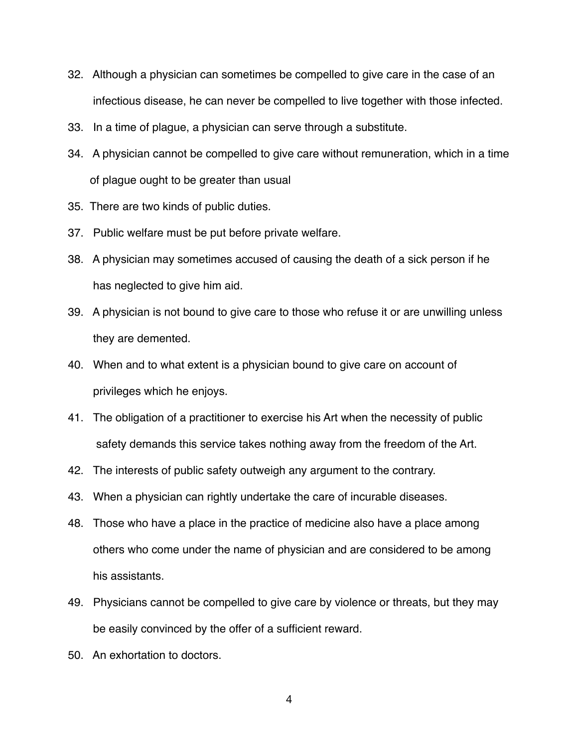- 32. Although a physician can sometimes be compelled to give care in the case of an infectious disease, he can never be compelled to live together with those infected.
- 33. In a time of plague, a physician can serve through a substitute.
- 34. A physician cannot be compelled to give care without remuneration, which in a time of plague ought to be greater than usual
- 35. There are two kinds of public duties.
- 37. Public welfare must be put before private welfare.
- 38. A physician may sometimes accused of causing the death of a sick person if he has neglected to give him aid.
- 39. A physician is not bound to give care to those who refuse it or are unwilling unless they are demented.
- 40. When and to what extent is a physician bound to give care on account of privileges which he enjoys.
- 41. The obligation of a practitioner to exercise his Art when the necessity of public safety demands this service takes nothing away from the freedom of the Art.
- 42. The interests of public safety outweigh any argument to the contrary.
- 43. When a physician can rightly undertake the care of incurable diseases.
- 48. Those who have a place in the practice of medicine also have a place among others who come under the name of physician and are considered to be among his assistants.
- 49. Physicians cannot be compelled to give care by violence or threats, but they may be easily convinced by the offer of a sufficient reward.
- 50. An exhortation to doctors.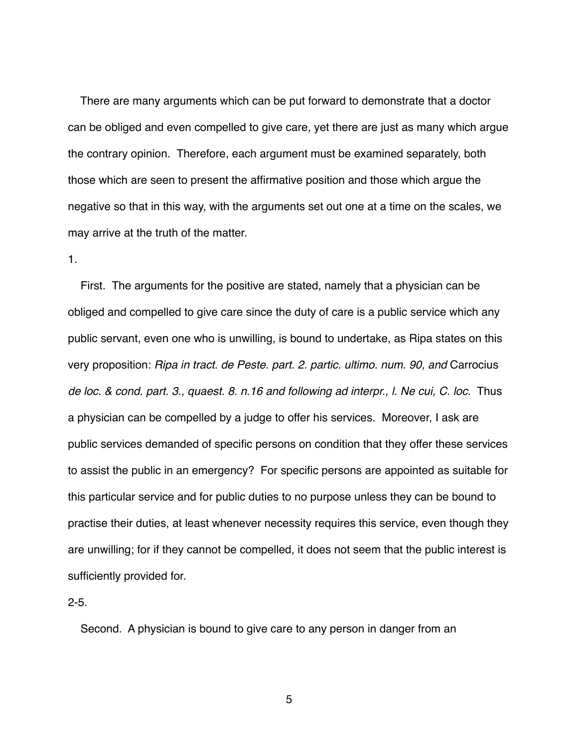There are many arguments which can be put forward to demonstrate that a doctor can be obliged and even compelled to give care, yet there are just as many which argue the contrary opinion. Therefore, each argument must be examined separately, both those which are seen to present the affirmative position and those which argue the negative so that in this way, with the arguments set out one at a time on the scales, we may arrive at the truth of the matter.

# 1.

 First. The arguments for the positive are stated, namely that a physician can be obliged and compelled to give care since the duty of care is a public service which any public servant, even one who is unwilling, is bound to undertake, as Ripa states on this very proposition: *Ripa in tract. de Peste. part. 2. partic. ultimo. num. 90, and* Carrocius *de loc. & cond. part. 3., quaest. 8. n.16 and following ad interpr., l. Ne cui, C. loc.* Thus a physician can be compelled by a judge to offer his services. Moreover, I ask are public services demanded of specific persons on condition that they offer these services to assist the public in an emergency? For specific persons are appointed as suitable for this particular service and for public duties to no purpose unless they can be bound to practise their duties, at least whenever necessity requires this service, even though they are unwilling; for if they cannot be compelled, it does not seem that the public interest is sufficiently provided for.

# $2 - 5$ .

Second. A physician is bound to give care to any person in danger from an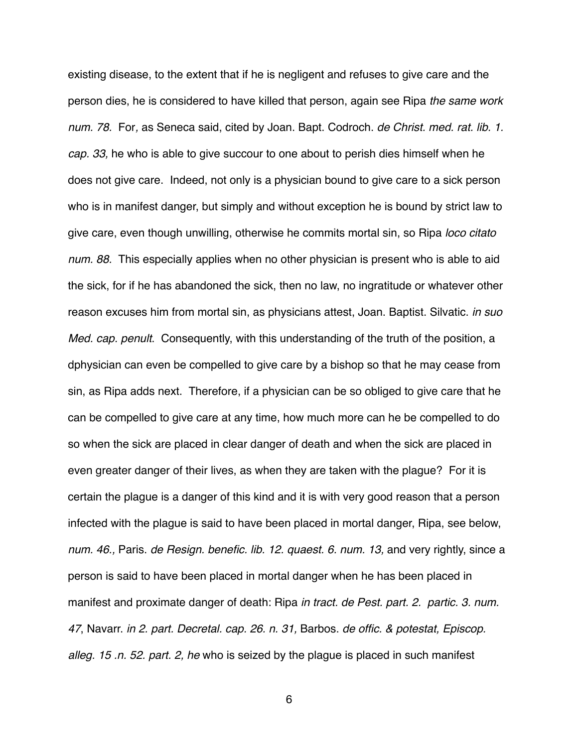existing disease, to the extent that if he is negligent and refuses to give care and the person dies, he is considered to have killed that person, again see Ripa *the same work num. 78.* For*,* as Seneca said, cited by Joan. Bapt. Codroch. *de Christ. med. rat. lib. 1. cap. 33,* he who is able to give succour to one about to perish dies himself when he does not give care. Indeed, not only is a physician bound to give care to a sick person who is in manifest danger, but simply and without exception he is bound by strict law to give care, even though unwilling, otherwise he commits mortal sin, so Ripa *loco citato num. 88.* This especially applies when no other physician is present who is able to aid the sick, for if he has abandoned the sick, then no law, no ingratitude or whatever other reason excuses him from mortal sin, as physicians attest, Joan. Baptist. Silvatic. *in suo Med. cap. penult*. Consequently, with this understanding of the truth of the position, a dphysician can even be compelled to give care by a bishop so that he may cease from sin, as Ripa adds next. Therefore, if a physician can be so obliged to give care that he can be compelled to give care at any time, how much more can he be compelled to do so when the sick are placed in clear danger of death and when the sick are placed in even greater danger of their lives, as when they are taken with the plague? For it is certain the plague is a danger of this kind and it is with very good reason that a person infected with the plague is said to have been placed in mortal danger, Ripa, see below, *num. 46.,* Paris. *de Resign. benefic. lib. 12. quaest. 6. num. 13,* and very rightly, since a person is said to have been placed in mortal danger when he has been placed in manifest and proximate danger of death: Ripa *in tract. de Pest. part. 2. partic. 3. num. 47*, Navarr. *in 2. part. Decretal. cap. 26. n. 31,* Barbos. *de offic. & potestat, Episcop. alleg. 15 .n. 52. part. 2, he* who is seized by the plague is placed in such manifest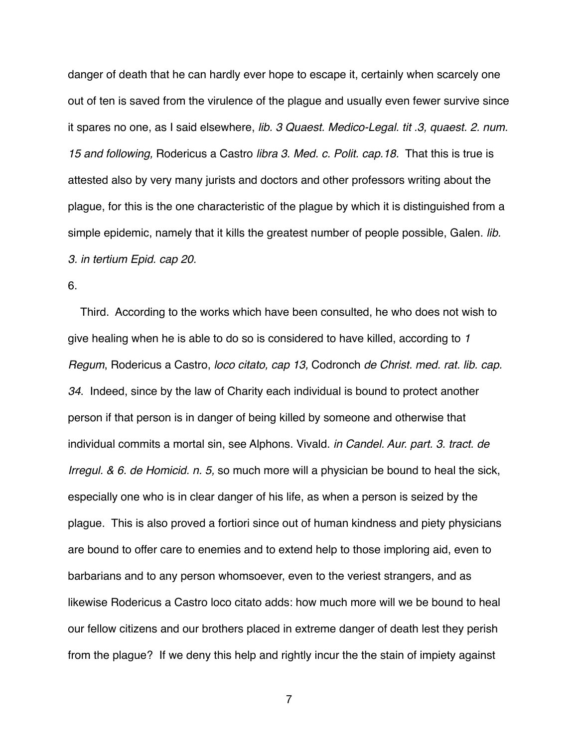danger of death that he can hardly ever hope to escape it, certainly when scarcely one out of ten is saved from the virulence of the plague and usually even fewer survive since it spares no one, as I said elsewhere, *lib. 3 Quaest. Medico-Legal. tit .3, quaest. 2. num. 15 and following,* Rodericus a Castro *libra 3. Med. c. Polit. cap.18.* That this is true is attested also by very many jurists and doctors and other professors writing about the plague, for this is the one characteristic of the plague by which it is distinguished from a simple epidemic, namely that it kills the greatest number of people possible, Galen. *lib. 3. in tertium Epid. cap 20.*

6.

 Third. According to the works which have been consulted, he who does not wish to give healing when he is able to do so is considered to have killed, according to *1 Regum*, Rodericus a Castro, *loco citato, cap 13,* Codronch *de Christ. med. rat. lib. cap. 34*. Indeed, since by the law of Charity each individual is bound to protect another person if that person is in danger of being killed by someone and otherwise that individual commits a mortal sin, see Alphons. Vivald. *in Candel. Aur. part. 3. tract. de Irregul. & 6. de Homicid. n. 5,* so much more will a physician be bound to heal the sick, especially one who is in clear danger of his life, as when a person is seized by the plague. This is also proved a fortiori since out of human kindness and piety physicians are bound to offer care to enemies and to extend help to those imploring aid, even to barbarians and to any person whomsoever, even to the veriest strangers, and as likewise Rodericus a Castro loco citato adds: how much more will we be bound to heal our fellow citizens and our brothers placed in extreme danger of death lest they perish from the plague? If we deny this help and rightly incur the the stain of impiety against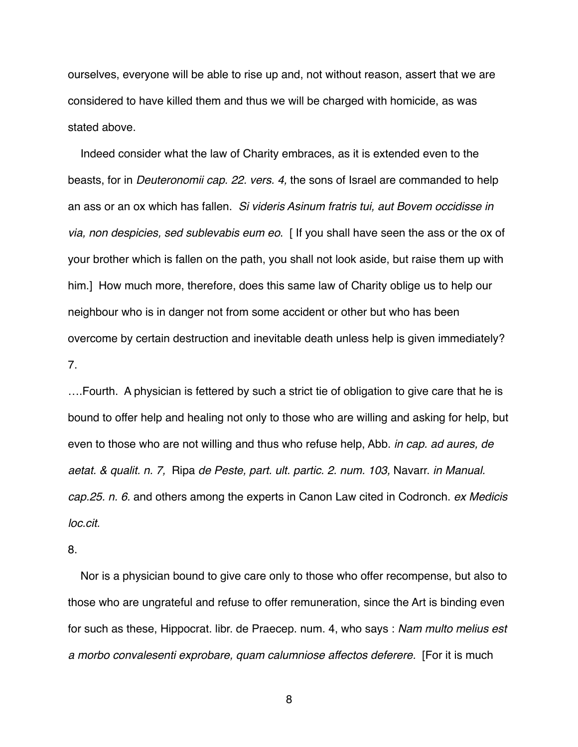ourselves, everyone will be able to rise up and, not without reason, assert that we are considered to have killed them and thus we will be charged with homicide, as was stated above.

 Indeed consider what the law of Charity embraces, as it is extended even to the beasts, for in *Deuteronomii cap. 22. vers. 4,* the sons of Israel are commanded to help an ass or an ox which has fallen. *Si videris Asinum fratris tui, aut Bovem occidisse in via, non despicies, sed sublevabis eum eo*. [ If you shall have seen the ass or the ox of your brother which is fallen on the path, you shall not look aside, but raise them up with him.] How much more, therefore, does this same law of Charity oblige us to help our neighbour who is in danger not from some accident or other but who has been overcome by certain destruction and inevitable death unless help is given immediately? 7.

….Fourth. A physician is fettered by such a strict tie of obligation to give care that he is bound to offer help and healing not only to those who are willing and asking for help, but even to those who are not willing and thus who refuse help, Abb. *in cap. ad aures, de aetat. & qualit. n. 7,* Ripa *de Peste, part. ult. partic. 2. num. 103,* Navarr. *in Manual. cap.25. n. 6.* and others among the experts in Canon Law cited in Codronch. *ex Medicis loc.cit.*

8.

 Nor is a physician bound to give care only to those who offer recompense, but also to those who are ungrateful and refuse to offer remuneration, since the Art is binding even for such as these, Hippocrat. libr. de Praecep. num. 4, who says : *Nam multo melius est a morbo convalesenti exprobare, quam calumniose affectos deferere.* [For it is much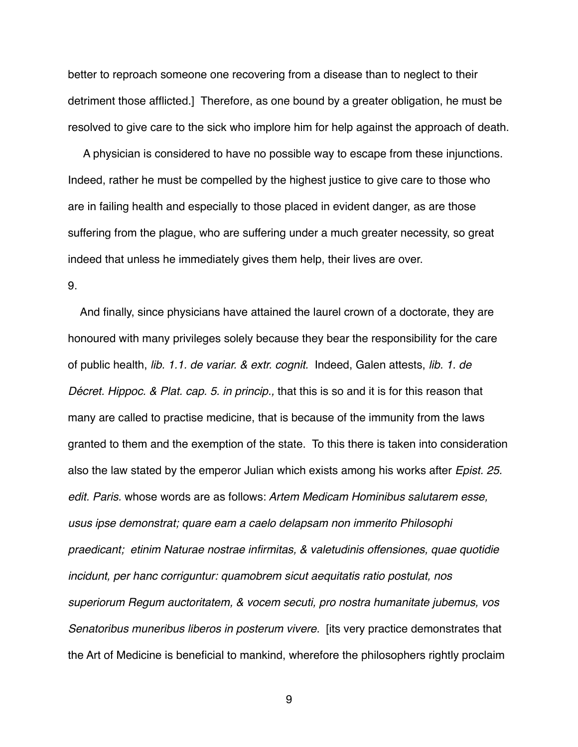better to reproach someone one recovering from a disease than to neglect to their detriment those afflicted.] Therefore, as one bound by a greater obligation, he must be resolved to give care to the sick who implore him for help against the approach of death.

 A physician is considered to have no possible way to escape from these injunctions. Indeed, rather he must be compelled by the highest justice to give care to those who are in failing health and especially to those placed in evident danger, as are those suffering from the plague, who are suffering under a much greater necessity, so great indeed that unless he immediately gives them help, their lives are over.

9.

 And finally, since physicians have attained the laurel crown of a doctorate, they are honoured with many privileges solely because they bear the responsibility for the care of public health, *lib. 1.1. de variar. & extr. cognit.* Indeed, Galen attests, *lib. 1. de Décret. Hippoc. & Plat. cap. 5. in princip.,* that this is so and it is for this reason that many are called to practise medicine, that is because of the immunity from the laws granted to them and the exemption of the state. To this there is taken into consideration also the law stated by the emperor Julian which exists among his works after *Epist. 25. edit. Paris.* whose words are as follows: *Artem Medicam Hominibus salutarem esse, usus ipse demonstrat; quare eam a caelo delapsam non immerito Philosophi praedicant; etinim Naturae nostrae infirmitas, & valetudinis offensiones, quae quotidie incidunt, per hanc corriguntur: quamobrem sicut aequitatis ratio postulat, nos superiorum Regum auctoritatem, & vocem secuti, pro nostra humanitate jubemus, vos Senatoribus muneribus liberos in posterum vivere.* [its very practice demonstrates that the Art of Medicine is beneficial to mankind, wherefore the philosophers rightly proclaim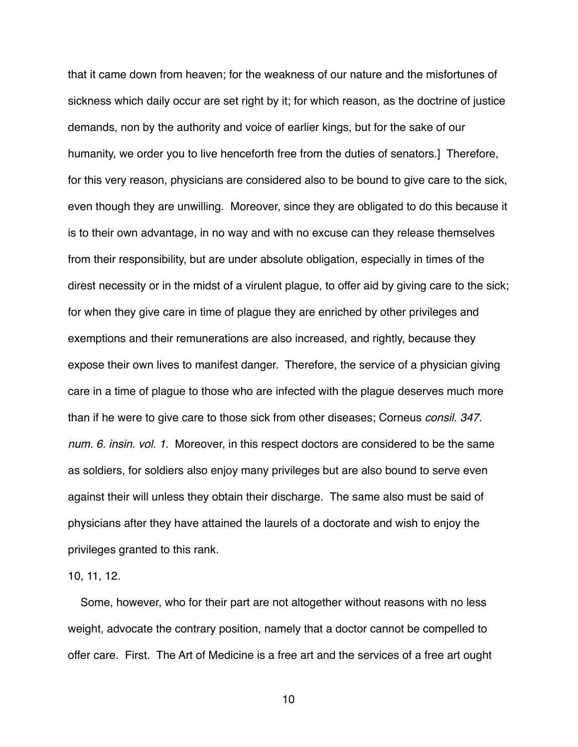that it came down from heaven; for the weakness of our nature and the misfortunes of sickness which daily occur are set right by it; for which reason, as the doctrine of justice demands, non by the authority and voice of earlier kings, but for the sake of our humanity, we order you to live henceforth free from the duties of senators.] Therefore, for this very reason, physicians are considered also to be bound to give care to the sick, even though they are unwilling. Moreover, since they are obligated to do this because it is to their own advantage, in no way and with no excuse can they release themselves from their responsibility, but are under absolute obligation, especially in times of the direst necessity or in the midst of a virulent plague, to offer aid by giving care to the sick; for when they give care in time of plague they are enriched by other privileges and exemptions and their remunerations are also increased, and rightly, because they expose their own lives to manifest danger. Therefore, the service of a physician giving care in a time of plague to those who are infected with the plague deserves much more than if he were to give care to those sick from other diseases; Corneus *consil. 347. num. 6. insin. vol. 1*. Moreover, in this respect doctors are considered to be the same as soldiers, for soldiers also enjoy many privileges but are also bound to serve even against their will unless they obtain their discharge. The same also must be said of physicians after they have attained the laurels of a doctorate and wish to enjoy the privileges granted to this rank.

10, 11, 12.

 Some, however, who for their part are not altogether without reasons with no less weight, advocate the contrary position, namely that a doctor cannot be compelled to offer care. First. The Art of Medicine is a free art and the services of a free art ought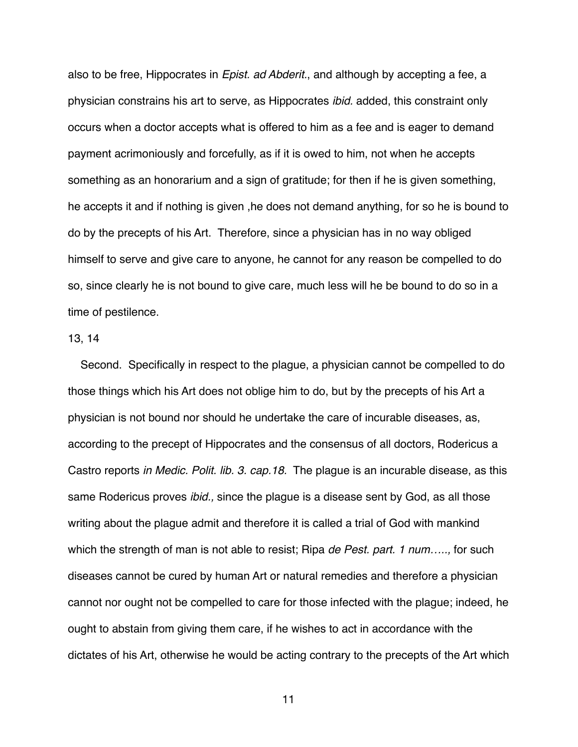also to be free, Hippocrates in *Epist. ad Abderit.*, and although by accepting a fee, a physician constrains his art to serve, as Hippocrates *ibid.* added, this constraint only occurs when a doctor accepts what is offered to him as a fee and is eager to demand payment acrimoniously and forcefully, as if it is owed to him, not when he accepts something as an honorarium and a sign of gratitude; for then if he is given something, he accepts it and if nothing is given ,he does not demand anything, for so he is bound to do by the precepts of his Art. Therefore, since a physician has in no way obliged himself to serve and give care to anyone, he cannot for any reason be compelled to do so, since clearly he is not bound to give care, much less will he be bound to do so in a time of pestilence.

# 13, 14

 Second. Specifically in respect to the plague, a physician cannot be compelled to do those things which his Art does not oblige him to do, but by the precepts of his Art a physician is not bound nor should he undertake the care of incurable diseases, as, according to the precept of Hippocrates and the consensus of all doctors, Rodericus a Castro reports *in Medic. Polit. lib. 3. cap.18.* The plague is an incurable disease, as this same Rodericus proves *ibid.,* since the plague is a disease sent by God, as all those writing about the plague admit and therefore it is called a trial of God with mankind which the strength of man is not able to resist; Ripa *de Pest. part. 1 num…..,* for such diseases cannot be cured by human Art or natural remedies and therefore a physician cannot nor ought not be compelled to care for those infected with the plague; indeed, he ought to abstain from giving them care, if he wishes to act in accordance with the dictates of his Art, otherwise he would be acting contrary to the precepts of the Art which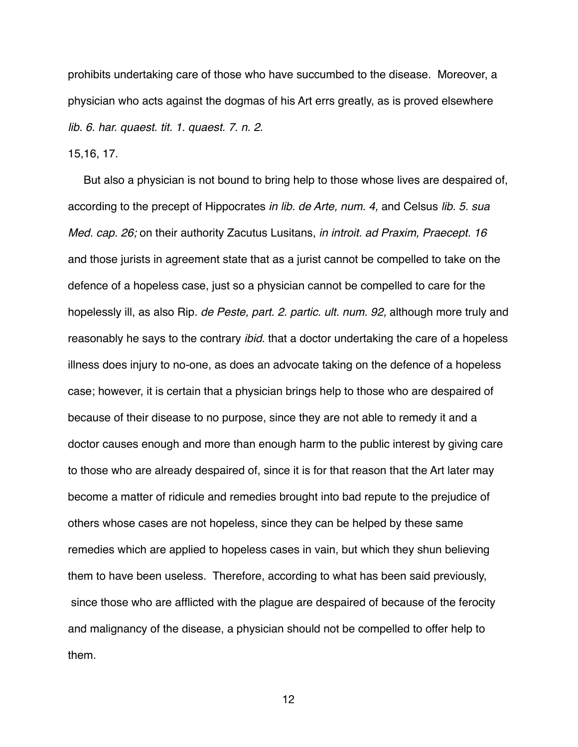prohibits undertaking care of those who have succumbed to the disease. Moreover, a physician who acts against the dogmas of his Art errs greatly, as is proved elsewhere *lib. 6. har. quaest. tit. 1. quaest. 7. n. 2.* 

15,16, 17.

 But also a physician is not bound to bring help to those whose lives are despaired of, according to the precept of Hippocrates *in lib. de Arte, num. 4,* and Celsus *lib. 5. sua Med. cap. 26;* on their authority Zacutus Lusitans, *in introit. ad Praxim, Praecept. 16*  and those jurists in agreement state that as a jurist cannot be compelled to take on the defence of a hopeless case, just so a physician cannot be compelled to care for the hopelessly ill, as also Rip. *de Peste, part. 2. partic. ult. num. 92,* although more truly and reasonably he says to the contrary *ibid.* that a doctor undertaking the care of a hopeless illness does injury to no-one, as does an advocate taking on the defence of a hopeless case; however, it is certain that a physician brings help to those who are despaired of because of their disease to no purpose, since they are not able to remedy it and a doctor causes enough and more than enough harm to the public interest by giving care to those who are already despaired of, since it is for that reason that the Art later may become a matter of ridicule and remedies brought into bad repute to the prejudice of others whose cases are not hopeless, since they can be helped by these same remedies which are applied to hopeless cases in vain, but which they shun believing them to have been useless. Therefore, according to what has been said previously, since those who are afflicted with the plague are despaired of because of the ferocity and malignancy of the disease, a physician should not be compelled to offer help to them.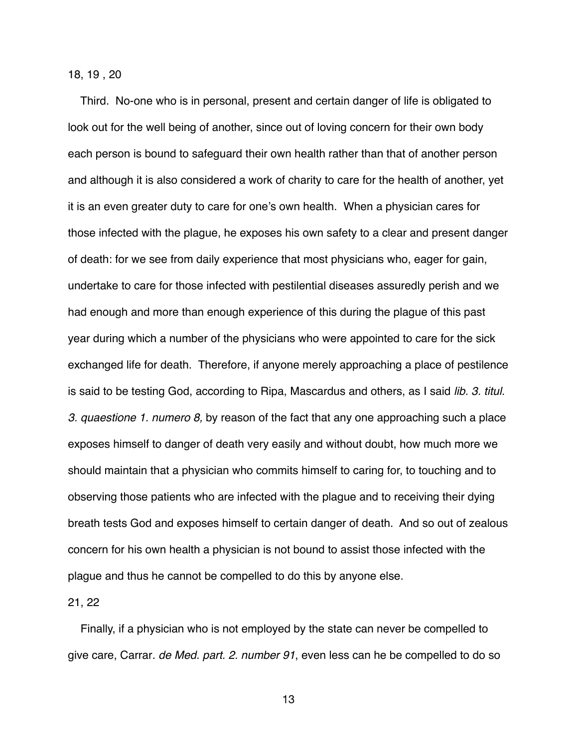## 18, 19 , 20

 Third. No-one who is in personal, present and certain danger of life is obligated to look out for the well being of another, since out of loving concern for their own body each person is bound to safeguard their own health rather than that of another person and although it is also considered a work of charity to care for the health of another, yet it is an even greater duty to care for one's own health. When a physician cares for those infected with the plague, he exposes his own safety to a clear and present danger of death: for we see from daily experience that most physicians who, eager for gain, undertake to care for those infected with pestilential diseases assuredly perish and we had enough and more than enough experience of this during the plague of this past year during which a number of the physicians who were appointed to care for the sick exchanged life for death. Therefore, if anyone merely approaching a place of pestilence is said to be testing God, according to Ripa, Mascardus and others, as I said *lib. 3. titul. 3. quaestione 1. numero 8,* by reason of the fact that any one approaching such a place exposes himself to danger of death very easily and without doubt, how much more we should maintain that a physician who commits himself to caring for, to touching and to observing those patients who are infected with the plague and to receiving their dying breath tests God and exposes himself to certain danger of death. And so out of zealous concern for his own health a physician is not bound to assist those infected with the plague and thus he cannot be compelled to do this by anyone else.

### 21, 22

 Finally, if a physician who is not employed by the state can never be compelled to give care, Carrar*. de Med. part. 2. number 91*, even less can he be compelled to do so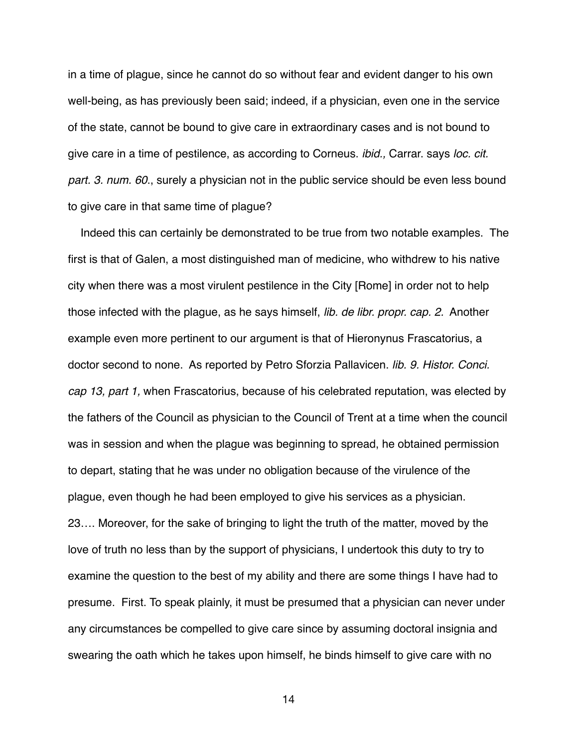in a time of plague, since he cannot do so without fear and evident danger to his own well-being, as has previously been said; indeed, if a physician, even one in the service of the state, cannot be bound to give care in extraordinary cases and is not bound to give care in a time of pestilence, as according to Corneus. *ibid.,* Carrar. says *loc. cit. part. 3. num. 60*., surely a physician not in the public service should be even less bound to give care in that same time of plague?

 Indeed this can certainly be demonstrated to be true from two notable examples. The first is that of Galen, a most distinguished man of medicine, who withdrew to his native city when there was a most virulent pestilence in the City [Rome] in order not to help those infected with the plague, as he says himself, *lib. de libr. propr. cap. 2.* Another example even more pertinent to our argument is that of Hieronynus Frascatorius, a doctor second to none. As reported by Petro Sforzia Pallavicen. *lib. 9. Histor. Conci. cap 13, part 1,* when Frascatorius, because of his celebrated reputation, was elected by the fathers of the Council as physician to the Council of Trent at a time when the council was in session and when the plague was beginning to spread, he obtained permission to depart, stating that he was under no obligation because of the virulence of the plague, even though he had been employed to give his services as a physician. 23…. Moreover, for the sake of bringing to light the truth of the matter, moved by the love of truth no less than by the support of physicians, I undertook this duty to try to examine the question to the best of my ability and there are some things I have had to presume. First. To speak plainly, it must be presumed that a physician can never under any circumstances be compelled to give care since by assuming doctoral insignia and swearing the oath which he takes upon himself, he binds himself to give care with no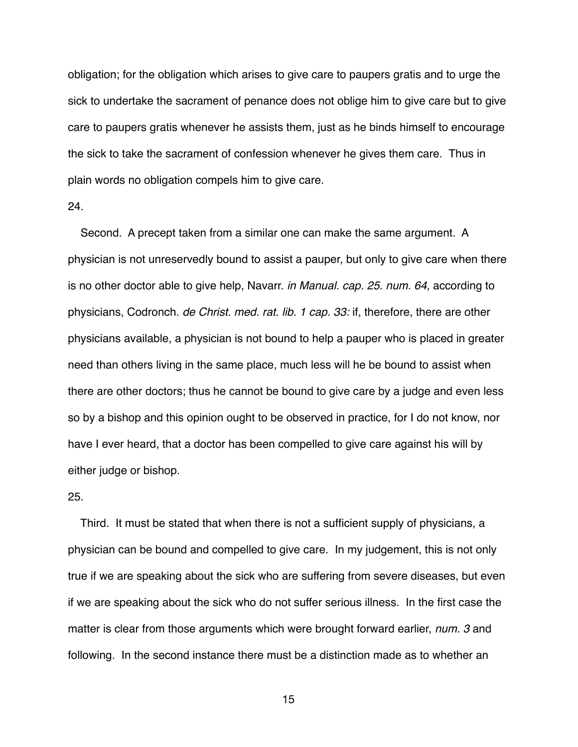obligation; for the obligation which arises to give care to paupers gratis and to urge the sick to undertake the sacrament of penance does not oblige him to give care but to give care to paupers gratis whenever he assists them, just as he binds himself to encourage the sick to take the sacrament of confession whenever he gives them care. Thus in plain words no obligation compels him to give care.

#### 24.

 Second. A precept taken from a similar one can make the same argument. A physician is not unreservedly bound to assist a pauper, but only to give care when there is no other doctor able to give help, Navarr. *in Manual. cap. 25. num. 64,* according to physicians, Codronch. *de Christ. med. rat. lib. 1 cap. 33:* if, therefore, there are other physicians available, a physician is not bound to help a pauper who is placed in greater need than others living in the same place, much less will he be bound to assist when there are other doctors; thus he cannot be bound to give care by a judge and even less so by a bishop and this opinion ought to be observed in practice, for I do not know, nor have I ever heard, that a doctor has been compelled to give care against his will by either judge or bishop.

### 25.

 Third. It must be stated that when there is not a sufficient supply of physicians, a physician can be bound and compelled to give care. In my judgement, this is not only true if we are speaking about the sick who are suffering from severe diseases, but even if we are speaking about the sick who do not suffer serious illness. In the first case the matter is clear from those arguments which were brought forward earlier, *num. 3* and following. In the second instance there must be a distinction made as to whether an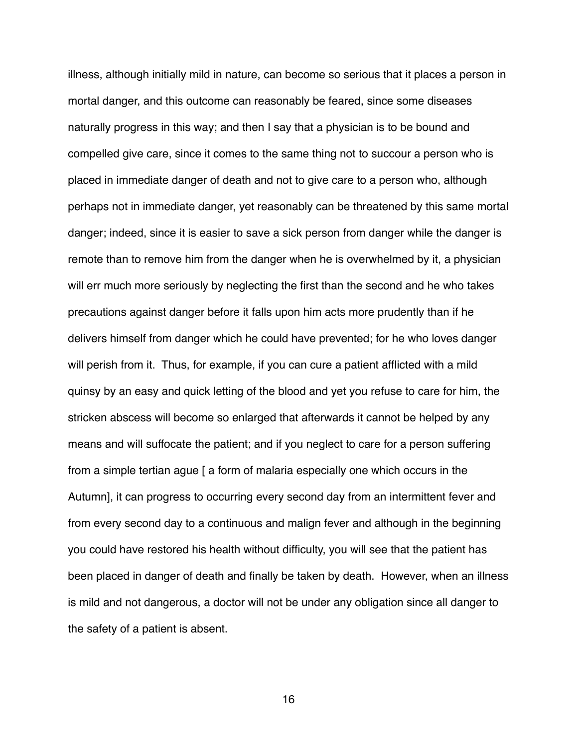illness, although initially mild in nature, can become so serious that it places a person in mortal danger, and this outcome can reasonably be feared, since some diseases naturally progress in this way; and then I say that a physician is to be bound and compelled give care, since it comes to the same thing not to succour a person who is placed in immediate danger of death and not to give care to a person who, although perhaps not in immediate danger, yet reasonably can be threatened by this same mortal danger; indeed, since it is easier to save a sick person from danger while the danger is remote than to remove him from the danger when he is overwhelmed by it, a physician will err much more seriously by neglecting the first than the second and he who takes precautions against danger before it falls upon him acts more prudently than if he delivers himself from danger which he could have prevented; for he who loves danger will perish from it. Thus, for example, if you can cure a patient afflicted with a mild quinsy by an easy and quick letting of the blood and yet you refuse to care for him, the stricken abscess will become so enlarged that afterwards it cannot be helped by any means and will suffocate the patient; and if you neglect to care for a person suffering from a simple tertian ague [ a form of malaria especially one which occurs in the Autumn], it can progress to occurring every second day from an intermittent fever and from every second day to a continuous and malign fever and although in the beginning you could have restored his health without difficulty, you will see that the patient has been placed in danger of death and finally be taken by death. However, when an illness is mild and not dangerous, a doctor will not be under any obligation since all danger to the safety of a patient is absent.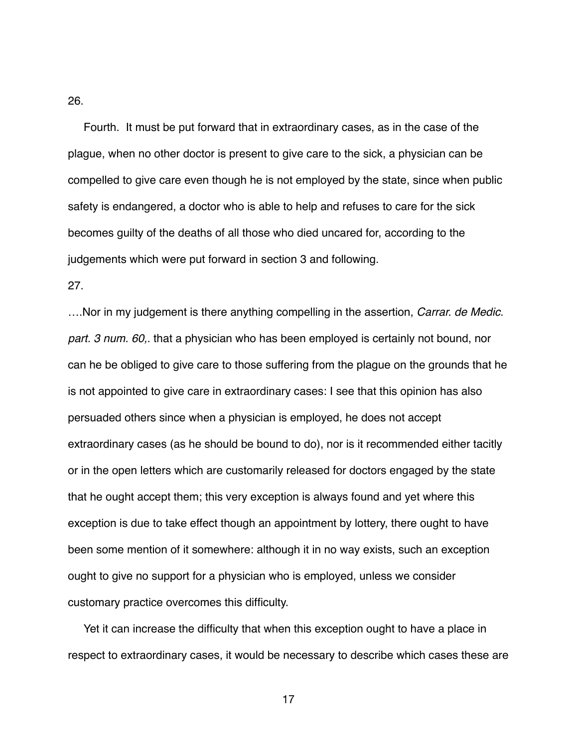26.

 Fourth. It must be put forward that in extraordinary cases, as in the case of the plague, when no other doctor is present to give care to the sick, a physician can be compelled to give care even though he is not employed by the state, since when public safety is endangered, a doctor who is able to help and refuses to care for the sick becomes guilty of the deaths of all those who died uncared for, according to the judgements which were put forward in section 3 and following.

27.

….Nor in my judgement is there anything compelling in the assertion, *Carrar. de Medic. part. 3 num. 60,*. that a physician who has been employed is certainly not bound, nor can he be obliged to give care to those suffering from the plague on the grounds that he is not appointed to give care in extraordinary cases: I see that this opinion has also persuaded others since when a physician is employed, he does not accept extraordinary cases (as he should be bound to do), nor is it recommended either tacitly or in the open letters which are customarily released for doctors engaged by the state that he ought accept them; this very exception is always found and yet where this exception is due to take effect though an appointment by lottery, there ought to have been some mention of it somewhere: although it in no way exists, such an exception ought to give no support for a physician who is employed, unless we consider customary practice overcomes this difficulty.

 Yet it can increase the difficulty that when this exception ought to have a place in respect to extraordinary cases, it would be necessary to describe which cases these are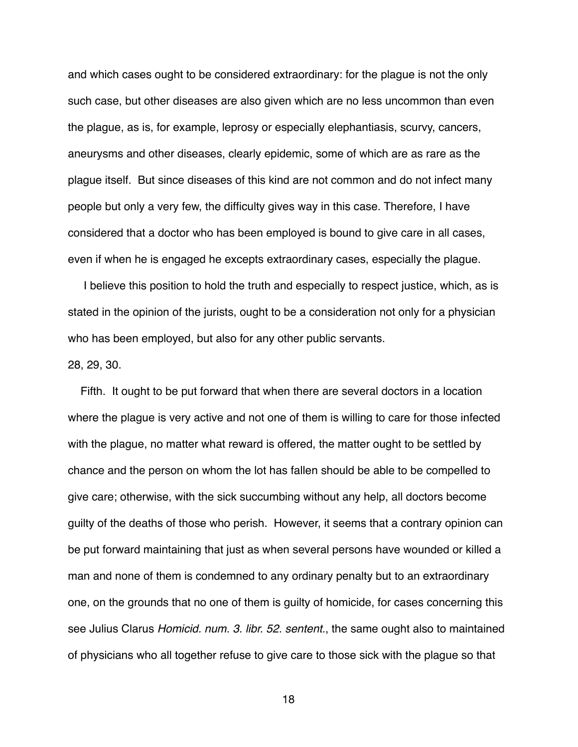and which cases ought to be considered extraordinary: for the plague is not the only such case, but other diseases are also given which are no less uncommon than even the plague, as is, for example, leprosy or especially elephantiasis, scurvy, cancers, aneurysms and other diseases, clearly epidemic, some of which are as rare as the plague itself. But since diseases of this kind are not common and do not infect many people but only a very few, the difficulty gives way in this case. Therefore, I have considered that a doctor who has been employed is bound to give care in all cases, even if when he is engaged he excepts extraordinary cases, especially the plague.

 I believe this position to hold the truth and especially to respect justice, which, as is stated in the opinion of the jurists, ought to be a consideration not only for a physician who has been employed, but also for any other public servants.

## 28, 29, 30.

 Fifth. It ought to be put forward that when there are several doctors in a location where the plague is very active and not one of them is willing to care for those infected with the plague, no matter what reward is offered, the matter ought to be settled by chance and the person on whom the lot has fallen should be able to be compelled to give care; otherwise, with the sick succumbing without any help, all doctors become guilty of the deaths of those who perish. However, it seems that a contrary opinion can be put forward maintaining that just as when several persons have wounded or killed a man and none of them is condemned to any ordinary penalty but to an extraordinary one, on the grounds that no one of them is guilty of homicide, for cases concerning this see Julius Clarus *Homicid. num. 3. libr. 52. sentent.*, the same ought also to maintained of physicians who all together refuse to give care to those sick with the plague so that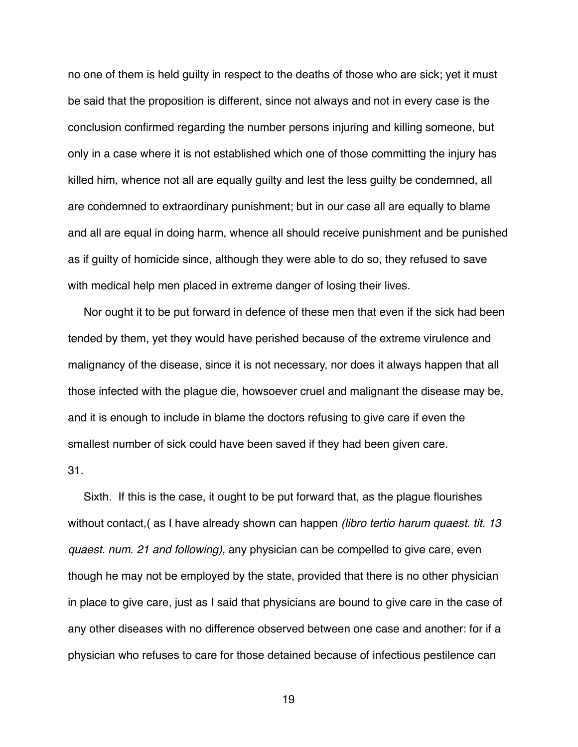no one of them is held guilty in respect to the deaths of those who are sick; yet it must be said that the proposition is different, since not always and not in every case is the conclusion confirmed regarding the number persons injuring and killing someone, but only in a case where it is not established which one of those committing the injury has killed him, whence not all are equally guilty and lest the less guilty be condemned, all are condemned to extraordinary punishment; but in our case all are equally to blame and all are equal in doing harm, whence all should receive punishment and be punished as if guilty of homicide since, although they were able to do so, they refused to save with medical help men placed in extreme danger of losing their lives.

 Nor ought it to be put forward in defence of these men that even if the sick had been tended by them, yet they would have perished because of the extreme virulence and malignancy of the disease, since it is not necessary, nor does it always happen that all those infected with the plague die, howsoever cruel and malignant the disease may be, and it is enough to include in blame the doctors refusing to give care if even the smallest number of sick could have been saved if they had been given care. 31.

 Sixth. If this is the case, it ought to be put forward that, as the plague flourishes without contact,( as I have already shown can happen *(libro tertio harum quaest. tit. 13 quaest. num. 21 and following),* any physician can be compelled to give care, even though he may not be employed by the state, provided that there is no other physician in place to give care, just as I said that physicians are bound to give care in the case of any other diseases with no difference observed between one case and another: for if a physician who refuses to care for those detained because of infectious pestilence can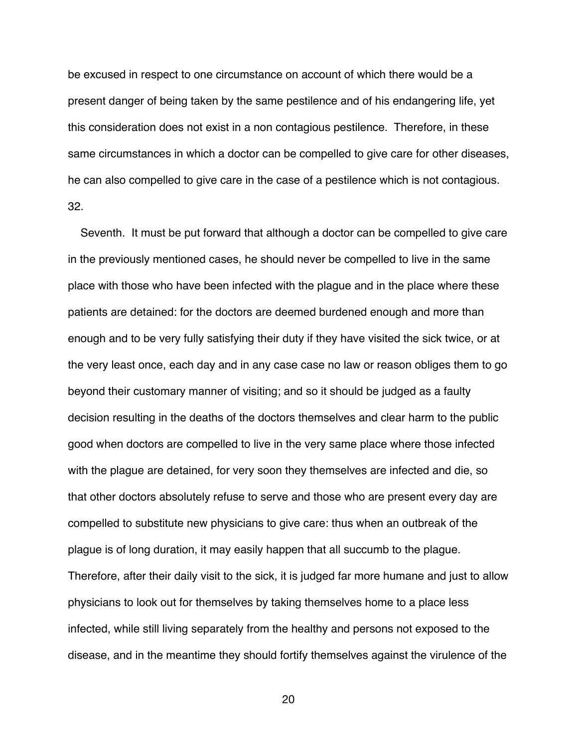be excused in respect to one circumstance on account of which there would be a present danger of being taken by the same pestilence and of his endangering life, yet this consideration does not exist in a non contagious pestilence. Therefore, in these same circumstances in which a doctor can be compelled to give care for other diseases, he can also compelled to give care in the case of a pestilence which is not contagious. 32.

 Seventh. It must be put forward that although a doctor can be compelled to give care in the previously mentioned cases, he should never be compelled to live in the same place with those who have been infected with the plague and in the place where these patients are detained: for the doctors are deemed burdened enough and more than enough and to be very fully satisfying their duty if they have visited the sick twice, or at the very least once, each day and in any case case no law or reason obliges them to go beyond their customary manner of visiting; and so it should be judged as a faulty decision resulting in the deaths of the doctors themselves and clear harm to the public good when doctors are compelled to live in the very same place where those infected with the plague are detained, for very soon they themselves are infected and die, so that other doctors absolutely refuse to serve and those who are present every day are compelled to substitute new physicians to give care: thus when an outbreak of the plague is of long duration, it may easily happen that all succumb to the plague. Therefore, after their daily visit to the sick, it is judged far more humane and just to allow physicians to look out for themselves by taking themselves home to a place less infected, while still living separately from the healthy and persons not exposed to the disease, and in the meantime they should fortify themselves against the virulence of the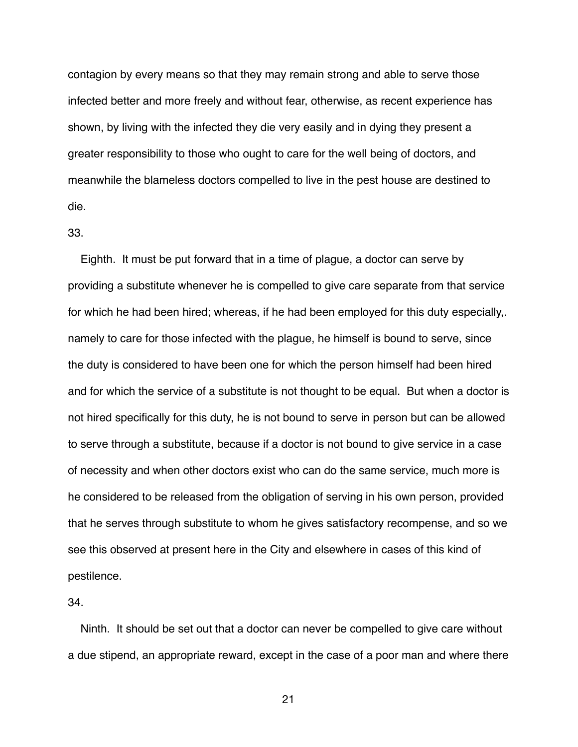contagion by every means so that they may remain strong and able to serve those infected better and more freely and without fear, otherwise, as recent experience has shown, by living with the infected they die very easily and in dying they present a greater responsibility to those who ought to care for the well being of doctors, and meanwhile the blameless doctors compelled to live in the pest house are destined to die.

## 33.

 Eighth. It must be put forward that in a time of plague, a doctor can serve by providing a substitute whenever he is compelled to give care separate from that service for which he had been hired; whereas, if he had been employed for this duty especially,. namely to care for those infected with the plague, he himself is bound to serve, since the duty is considered to have been one for which the person himself had been hired and for which the service of a substitute is not thought to be equal. But when a doctor is not hired specifically for this duty, he is not bound to serve in person but can be allowed to serve through a substitute, because if a doctor is not bound to give service in a case of necessity and when other doctors exist who can do the same service, much more is he considered to be released from the obligation of serving in his own person, provided that he serves through substitute to whom he gives satisfactory recompense, and so we see this observed at present here in the City and elsewhere in cases of this kind of pestilence.

## 34.

 Ninth. It should be set out that a doctor can never be compelled to give care without a due stipend, an appropriate reward, except in the case of a poor man and where there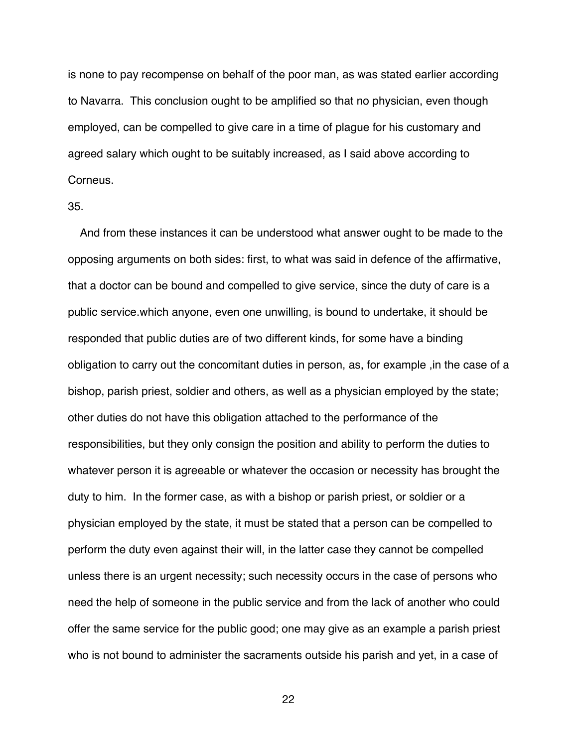is none to pay recompense on behalf of the poor man, as was stated earlier according to Navarra. This conclusion ought to be amplified so that no physician, even though employed, can be compelled to give care in a time of plague for his customary and agreed salary which ought to be suitably increased, as I said above according to Corneus.

### 35.

 And from these instances it can be understood what answer ought to be made to the opposing arguments on both sides: first, to what was said in defence of the affirmative, that a doctor can be bound and compelled to give service, since the duty of care is a public service.which anyone, even one unwilling, is bound to undertake, it should be responded that public duties are of two different kinds, for some have a binding obligation to carry out the concomitant duties in person, as, for example ,in the case of a bishop, parish priest, soldier and others, as well as a physician employed by the state; other duties do not have this obligation attached to the performance of the responsibilities, but they only consign the position and ability to perform the duties to whatever person it is agreeable or whatever the occasion or necessity has brought the duty to him. In the former case, as with a bishop or parish priest, or soldier or a physician employed by the state, it must be stated that a person can be compelled to perform the duty even against their will, in the latter case they cannot be compelled unless there is an urgent necessity; such necessity occurs in the case of persons who need the help of someone in the public service and from the lack of another who could offer the same service for the public good; one may give as an example a parish priest who is not bound to administer the sacraments outside his parish and yet, in a case of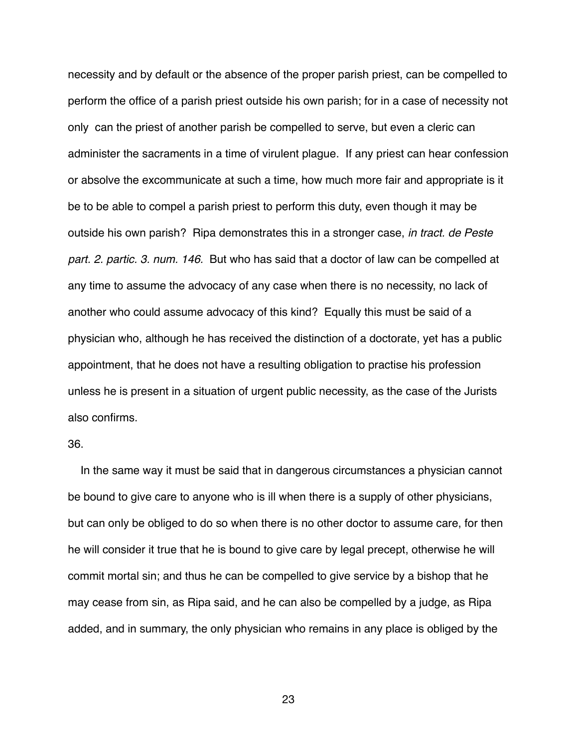necessity and by default or the absence of the proper parish priest, can be compelled to perform the office of a parish priest outside his own parish; for in a case of necessity not only can the priest of another parish be compelled to serve, but even a cleric can administer the sacraments in a time of virulent plague. If any priest can hear confession or absolve the excommunicate at such a time, how much more fair and appropriate is it be to be able to compel a parish priest to perform this duty, even though it may be outside his own parish? Ripa demonstrates this in a stronger case, *in tract. de Peste part. 2. partic. 3. num. 146.* But who has said that a doctor of law can be compelled at any time to assume the advocacy of any case when there is no necessity, no lack of another who could assume advocacy of this kind? Equally this must be said of a physician who, although he has received the distinction of a doctorate, yet has a public appointment, that he does not have a resulting obligation to practise his profession unless he is present in a situation of urgent public necessity, as the case of the Jurists also confirms.

## 36.

 In the same way it must be said that in dangerous circumstances a physician cannot be bound to give care to anyone who is ill when there is a supply of other physicians, but can only be obliged to do so when there is no other doctor to assume care, for then he will consider it true that he is bound to give care by legal precept, otherwise he will commit mortal sin; and thus he can be compelled to give service by a bishop that he may cease from sin, as Ripa said, and he can also be compelled by a judge, as Ripa added, and in summary, the only physician who remains in any place is obliged by the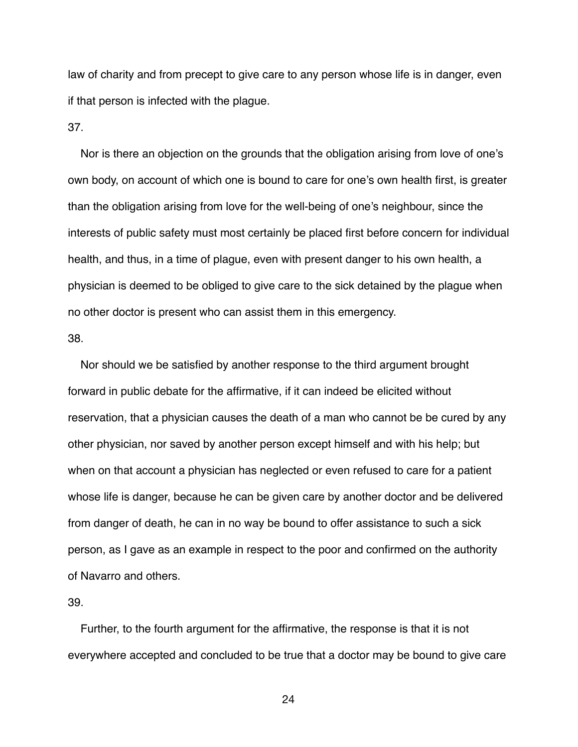law of charity and from precept to give care to any person whose life is in danger, even if that person is infected with the plague.

37.

 Nor is there an objection on the grounds that the obligation arising from love of one's own body, on account of which one is bound to care for one's own health first, is greater than the obligation arising from love for the well-being of one's neighbour, since the interests of public safety must most certainly be placed first before concern for individual health, and thus, in a time of plague, even with present danger to his own health, a physician is deemed to be obliged to give care to the sick detained by the plague when no other doctor is present who can assist them in this emergency.

38.

 Nor should we be satisfied by another response to the third argument brought forward in public debate for the affirmative, if it can indeed be elicited without reservation, that a physician causes the death of a man who cannot be be cured by any other physician, nor saved by another person except himself and with his help; but when on that account a physician has neglected or even refused to care for a patient whose life is danger, because he can be given care by another doctor and be delivered from danger of death, he can in no way be bound to offer assistance to such a sick person, as I gave as an example in respect to the poor and confirmed on the authority of Navarro and others.

39.

 Further, to the fourth argument for the affirmative, the response is that it is not everywhere accepted and concluded to be true that a doctor may be bound to give care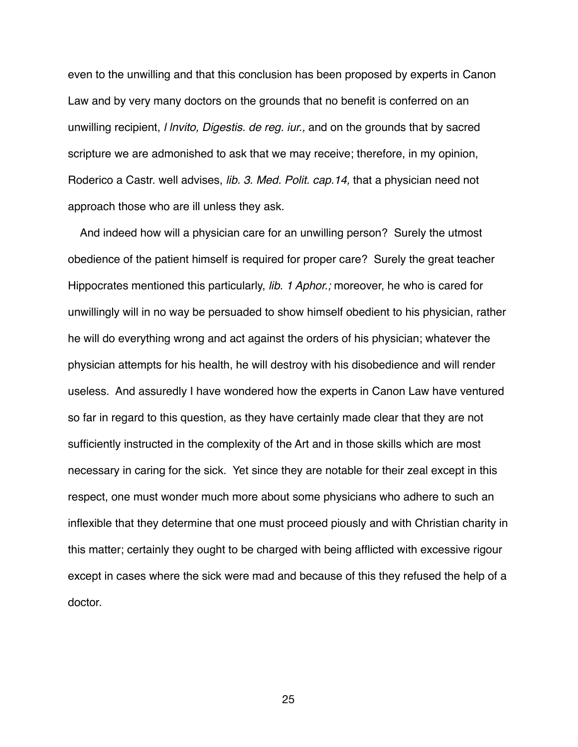even to the unwilling and that this conclusion has been proposed by experts in Canon Law and by very many doctors on the grounds that no benefit is conferred on an unwilling recipient, *l lnvito, Digestis. de reg. iur.,* and on the grounds that by sacred scripture we are admonished to ask that we may receive; therefore, in my opinion, Roderico a Castr. well advises, *lib. 3. Med. Polit. cap.14,* that a physician need not approach those who are ill unless they ask.

 And indeed how will a physician care for an unwilling person? Surely the utmost obedience of the patient himself is required for proper care? Surely the great teacher Hippocrates mentioned this particularly, *lib. 1 Aphor.;* moreover, he who is cared for unwillingly will in no way be persuaded to show himself obedient to his physician, rather he will do everything wrong and act against the orders of his physician; whatever the physician attempts for his health, he will destroy with his disobedience and will render useless. And assuredly I have wondered how the experts in Canon Law have ventured so far in regard to this question, as they have certainly made clear that they are not sufficiently instructed in the complexity of the Art and in those skills which are most necessary in caring for the sick. Yet since they are notable for their zeal except in this respect, one must wonder much more about some physicians who adhere to such an inflexible that they determine that one must proceed piously and with Christian charity in this matter; certainly they ought to be charged with being afflicted with excessive rigour except in cases where the sick were mad and because of this they refused the help of a doctor.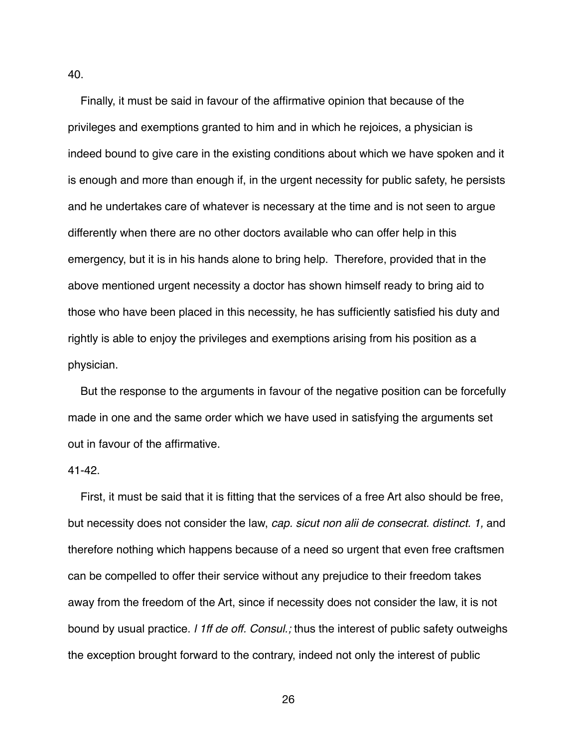Finally, it must be said in favour of the affirmative opinion that because of the privileges and exemptions granted to him and in which he rejoices, a physician is indeed bound to give care in the existing conditions about which we have spoken and it is enough and more than enough if, in the urgent necessity for public safety, he persists and he undertakes care of whatever is necessary at the time and is not seen to argue differently when there are no other doctors available who can offer help in this emergency, but it is in his hands alone to bring help. Therefore, provided that in the above mentioned urgent necessity a doctor has shown himself ready to bring aid to those who have been placed in this necessity, he has sufficiently satisfied his duty and rightly is able to enjoy the privileges and exemptions arising from his position as a physician.

 But the response to the arguments in favour of the negative position can be forcefully made in one and the same order which we have used in satisfying the arguments set out in favour of the affirmative.

#### 41-42.

40.

 First, it must be said that it is fitting that the services of a free Art also should be free, but necessity does not consider the law, *cap. sicut non alii de consecrat. distinct. 1,* and therefore nothing which happens because of a need so urgent that even free craftsmen can be compelled to offer their service without any prejudice to their freedom takes away from the freedom of the Art, since if necessity does not consider the law, it is not bound by usual practice. *l 1ff de off. Consul.;* thus the interest of public safety outweighs the exception brought forward to the contrary, indeed not only the interest of public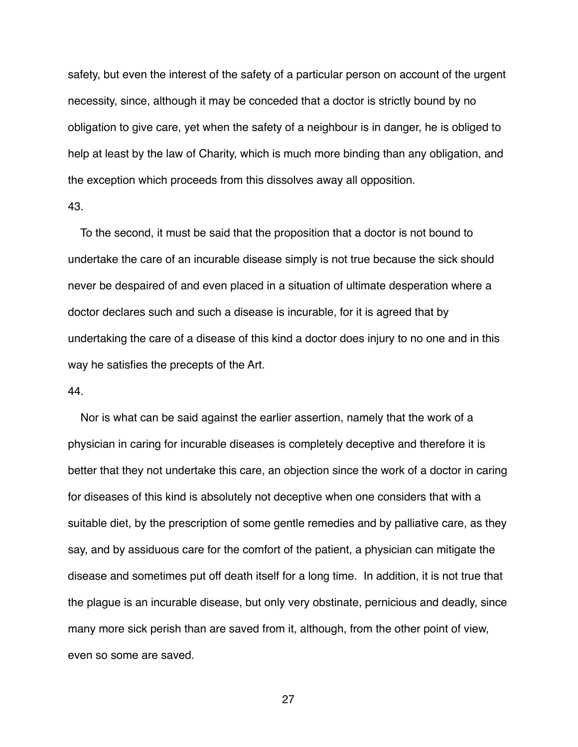safety, but even the interest of the safety of a particular person on account of the urgent necessity, since, although it may be conceded that a doctor is strictly bound by no obligation to give care, yet when the safety of a neighbour is in danger, he is obliged to help at least by the law of Charity, which is much more binding than any obligation, and the exception which proceeds from this dissolves away all opposition.

# 43.

 To the second, it must be said that the proposition that a doctor is not bound to undertake the care of an incurable disease simply is not true because the sick should never be despaired of and even placed in a situation of ultimate desperation where a doctor declares such and such a disease is incurable, for it is agreed that by undertaking the care of a disease of this kind a doctor does injury to no one and in this way he satisfies the precepts of the Art.

#### 44.

 Nor is what can be said against the earlier assertion, namely that the work of a physician in caring for incurable diseases is completely deceptive and therefore it is better that they not undertake this care, an objection since the work of a doctor in caring for diseases of this kind is absolutely not deceptive when one considers that with a suitable diet, by the prescription of some gentle remedies and by palliative care, as they say, and by assiduous care for the comfort of the patient, a physician can mitigate the disease and sometimes put off death itself for a long time. In addition, it is not true that the plague is an incurable disease, but only very obstinate, pernicious and deadly, since many more sick perish than are saved from it, although, from the other point of view, even so some are saved.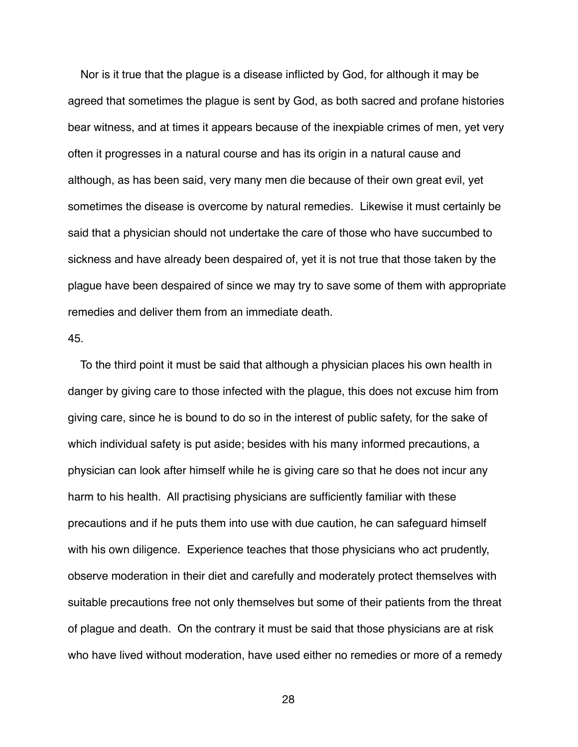Nor is it true that the plague is a disease inflicted by God, for although it may be agreed that sometimes the plague is sent by God, as both sacred and profane histories bear witness, and at times it appears because of the inexpiable crimes of men, yet very often it progresses in a natural course and has its origin in a natural cause and although, as has been said, very many men die because of their own great evil, yet sometimes the disease is overcome by natural remedies. Likewise it must certainly be said that a physician should not undertake the care of those who have succumbed to sickness and have already been despaired of, yet it is not true that those taken by the plague have been despaired of since we may try to save some of them with appropriate remedies and deliver them from an immediate death.

# 45.

 To the third point it must be said that although a physician places his own health in danger by giving care to those infected with the plague, this does not excuse him from giving care, since he is bound to do so in the interest of public safety, for the sake of which individual safety is put aside; besides with his many informed precautions, a physician can look after himself while he is giving care so that he does not incur any harm to his health. All practising physicians are sufficiently familiar with these precautions and if he puts them into use with due caution, he can safeguard himself with his own diligence. Experience teaches that those physicians who act prudently, observe moderation in their diet and carefully and moderately protect themselves with suitable precautions free not only themselves but some of their patients from the threat of plague and death. On the contrary it must be said that those physicians are at risk who have lived without moderation, have used either no remedies or more of a remedy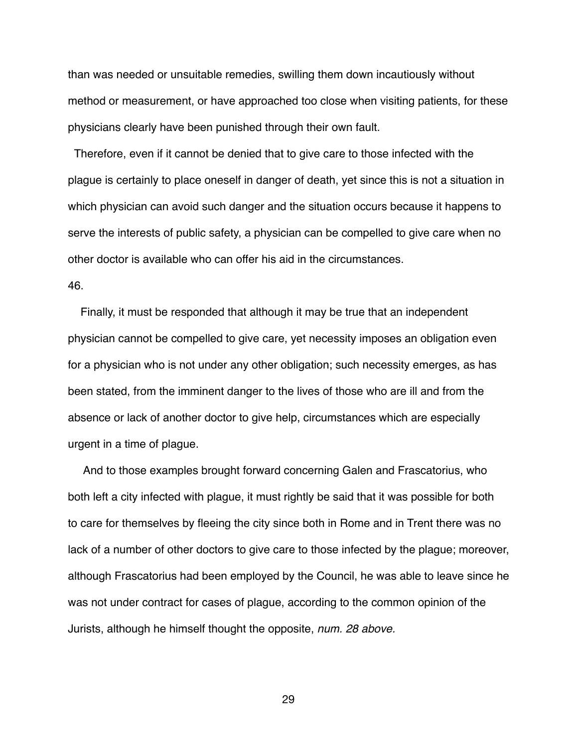than was needed or unsuitable remedies, swilling them down incautiously without method or measurement, or have approached too close when visiting patients, for these physicians clearly have been punished through their own fault.

 Therefore, even if it cannot be denied that to give care to those infected with the plague is certainly to place oneself in danger of death, yet since this is not a situation in which physician can avoid such danger and the situation occurs because it happens to serve the interests of public safety, a physician can be compelled to give care when no other doctor is available who can offer his aid in the circumstances.

# 46.

 Finally, it must be responded that although it may be true that an independent physician cannot be compelled to give care, yet necessity imposes an obligation even for a physician who is not under any other obligation; such necessity emerges, as has been stated, from the imminent danger to the lives of those who are ill and from the absence or lack of another doctor to give help, circumstances which are especially urgent in a time of plague.

 And to those examples brought forward concerning Galen and Frascatorius, who both left a city infected with plague, it must rightly be said that it was possible for both to care for themselves by fleeing the city since both in Rome and in Trent there was no lack of a number of other doctors to give care to those infected by the plague; moreover, although Frascatorius had been employed by the Council, he was able to leave since he was not under contract for cases of plague, according to the common opinion of the Jurists, although he himself thought the opposite, *num. 28 above.*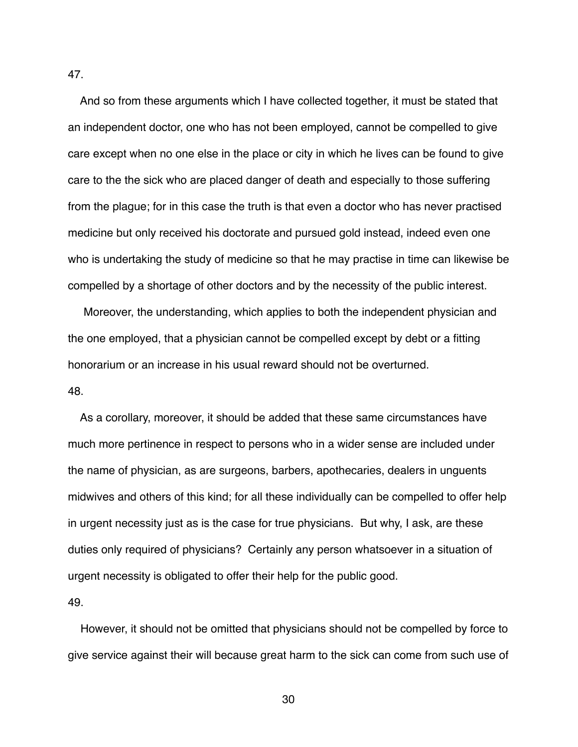And so from these arguments which I have collected together, it must be stated that an independent doctor, one who has not been employed, cannot be compelled to give care except when no one else in the place or city in which he lives can be found to give care to the the sick who are placed danger of death and especially to those suffering from the plague; for in this case the truth is that even a doctor who has never practised medicine but only received his doctorate and pursued gold instead, indeed even one who is undertaking the study of medicine so that he may practise in time can likewise be compelled by a shortage of other doctors and by the necessity of the public interest.

 Moreover, the understanding, which applies to both the independent physician and the one employed, that a physician cannot be compelled except by debt or a fitting honorarium or an increase in his usual reward should not be overturned.

## 48.

 As a corollary, moreover, it should be added that these same circumstances have much more pertinence in respect to persons who in a wider sense are included under the name of physician, as are surgeons, barbers, apothecaries, dealers in unguents midwives and others of this kind; for all these individually can be compelled to offer help in urgent necessity just as is the case for true physicians. But why, I ask, are these duties only required of physicians? Certainly any person whatsoever in a situation of urgent necessity is obligated to offer their help for the public good.

49.

 However, it should not be omitted that physicians should not be compelled by force to give service against their will because great harm to the sick can come from such use of

30

47.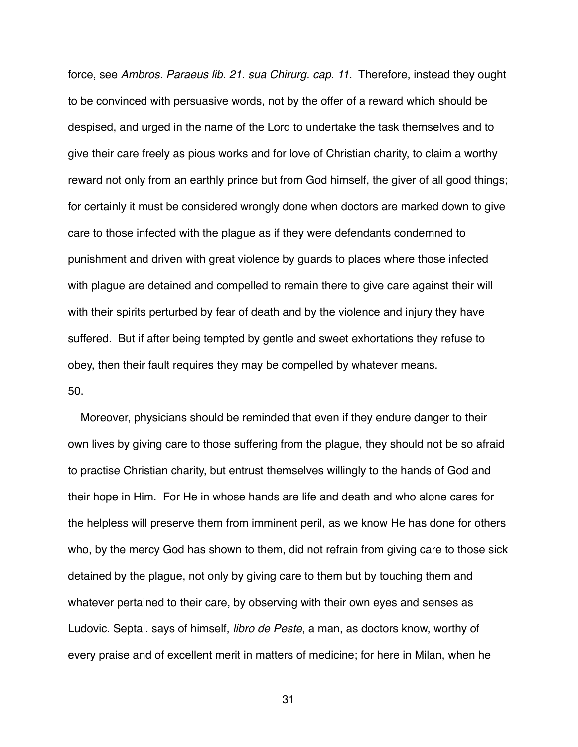force, see *Ambros. Paraeus lib. 21. sua Chirurg. cap. 11.* Therefore, instead they ought to be convinced with persuasive words, not by the offer of a reward which should be despised, and urged in the name of the Lord to undertake the task themselves and to give their care freely as pious works and for love of Christian charity, to claim a worthy reward not only from an earthly prince but from God himself, the giver of all good things; for certainly it must be considered wrongly done when doctors are marked down to give care to those infected with the plague as if they were defendants condemned to punishment and driven with great violence by guards to places where those infected with plague are detained and compelled to remain there to give care against their will with their spirits perturbed by fear of death and by the violence and injury they have suffered. But if after being tempted by gentle and sweet exhortations they refuse to obey, then their fault requires they may be compelled by whatever means. 50.

 Moreover, physicians should be reminded that even if they endure danger to their own lives by giving care to those suffering from the plague, they should not be so afraid to practise Christian charity, but entrust themselves willingly to the hands of God and their hope in Him. For He in whose hands are life and death and who alone cares for the helpless will preserve them from imminent peril, as we know He has done for others who, by the mercy God has shown to them, did not refrain from giving care to those sick detained by the plague, not only by giving care to them but by touching them and whatever pertained to their care, by observing with their own eyes and senses as Ludovic. Septal. says of himself, *libro de Peste*, a man, as doctors know, worthy of every praise and of excellent merit in matters of medicine; for here in Milan, when he